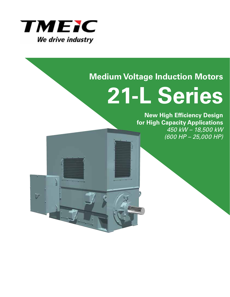

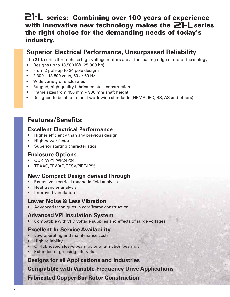## **21-L** series: Combining over 100 years of experience with innovative new technology makes the **21-L** series **the right choice for the demanding needs of today's industry.**

## **Superior Electrical Performance, Unsurpassed Reliability**

The **21-L** series three-phase high-voltage motors are at the leading edge of motor technology.

- Designs up to 18,500 kW (25,000 hp)
- From 2 pole up to 24 pole designs
- 2,300 13,800 Volts, 50 or 60 Hz
- Wide variety of enclosures
- Rugged, high quality fabricated steel construction
- Frame sizes from 450 mm ~ 900 mm shaft height
- Designed to be able to meet worldwide standards (NEMA, IEC, BS, AS and others)

## **Features/Benefits:**

#### **Excellent Electrical Performance**

- Higher efficiency than any previous design
- High power factor
- Superior starting characteristics

#### **Enclosure Options**

- ODP, WP1, WP2/IP24
- TEAAC, TEWAC, TESV/PIPE/IP55

#### **New Compact Design derived Through**

- Extensive electrical magnetic field analysis
- Heat transfer analysis
- Improved ventilation

#### **Lower Noise & Less Vibration**

• Advanced techniques in core/frame construction

#### **Advanced VPI Insulation System**

• Compatible with VFD voltage supplies and effects of surge voltages

#### **Excellent In-Service Availability**

- Low operating and maintenance costs
- High reliability
- Oil-lubricated sleeve bearings or anti-friction bearings
- Extended re-greasing intervals

#### **Designs for all Applications and Industries**

#### **Compatible with Variable Frequency Drive Applications**

**Fabricated Copper Bar Rotor Construction**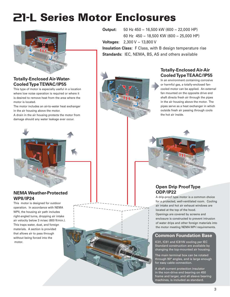# **21-L Series Motor Enclosures**



#### **Totally-Enclosed Air-Water-Cooled Type TEWAC/IP55**

This type of motor is especially useful in a location where low noise operation is required or where it is desired to remove heat from the area where the motor is located.

The motor includes an air-to-water heat exchanger in the air housing above the motor.

A drain in the air housing protects the motor from damage should any water leakage ever occur.



#### **NEMA Weather-Protected WPII/IP24**

This motor is designed for outdoor operation. In accordance with NEMA WPII, the housing air path includes right-angled turns, dropping air intake air velocity below 3 m/sec (600 ft/min.). This traps water, dust, and foreign materials. A section is provided that allows air to pass through without being forced into the motor.

**Output:** 50 Hz 450 ~ 16,500 kW (600 ~ 22,000 HP) 60 Hz 450 ~ 18,500 KW (600 ~ 25,000 HP) **Voltages:** 2,300 V ~ 13,800 V **Insulation Class:** F Class, with B design temperature rise **Standards:** IEC, NEMA, BS, AS and others available



#### **Totally-Enclosed Air-Air Cooled Type TEAAC/IP55**

In an environment containing corrosive or harmful gas, a totally-enclosed fancooled motor can be applied. An external fan mounted on the opposite drive end shaft directs fresh air through the pipes in the air housing above the motor. The pipes serve as a heat exchanger in which outside fresh air passing through cools the hot air inside.

#### **Open Drip Proof Type ODP/IP22**

A drip-proof type motor is a common choice for a protected, well-ventilated room. Cooling air intake and hot air exhaust windows are located at the top of the hood.

Openings are covered by screens and enclosure is constructed to prevent intrusion of water drips and other foreign materials into the motor meeting NEMA WP-I requirements.

#### **Common Foundation Base**

IC01, IC61 and IC81W cooling per IEC Standard construction are available by changing the top-mounted air housing.

The main terminal box can be rotated through 90° angles, and is large enough for easy cable connection.

A shaft current protection insulator in the non-drive end bearing on 450 frame and larger, and all sleeve bearing machines, is included as standard.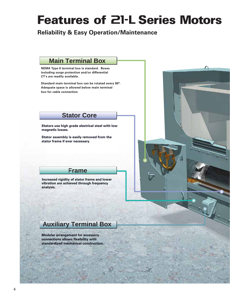# **Features of 21-L Series Motors**

**Reliability & Easy Operation/Maintenance**

### **Main Terminal Box**

**NEMA Type II terminal box is standard. Boxes including surge protection and/or differential CT's are readily available.**

**Standard main terminal box can be rotated every 90°. Adequate space is allowed below main terminal box for cable connection.**

#### **Stator Core**

**Stators use high grade electrical steel with low magnetic losses.**

**Stator assembly is easily removed from the stator frame if ever necessary.**

### **Frame**

**vibration are achieved through frequency analysis. Increased rigidity of stator frame and lower**



## **Auxiliary Terminal Box**

**Modular arrangement for accessory connections allows flexibility with standardized mechanical construction.**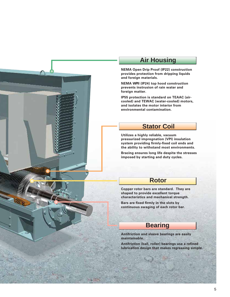

#### **Air Housing**

**NEMA Open Drip Proof (IP22) construction provides protection from dripping liquids and foreign materials.**

**NEMA WPII (IP24) top hood construction prevents instrusion of rain water and foreign matter.**

**IP55 protection is standard on TEAAC (aircooled) and TEWAC (water-cooled) motors, and isolates the motor interior from environmental contamination.**

### **Stator Coil**

**Utilizes a highly reliable, vacuum pressurized impregnation (VPI) insulation system providing firmly-fixed coil ends and the ability to withstand most environments.**

**Bracing ensures long life despite the stresses imposed by starting and duty cycles.** 

#### **Rotor**

**Copper rotor bars are standard. They are shaped to provide excellent torque characteristics and mechanical strength.** 

**Bars are fixed firmly in the slots by continuous swaging of each rotor bar.** 

## **Bearing**

**Antifriction and sleeve bearings are easily maintainable.** 

**Antifriction (ball, roller) bearings use a refined lubrication design that makes regreasing simple.**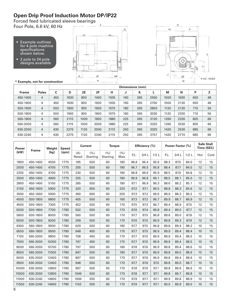## **Open Drip Proof Induction Motor DP/IP22**

Forced feed lubricated sleeve bearings Four Pole, 6.6 kV, 60 Hz

- Example outlines for 4 pole machine specifications shown below.
- 2 pole to 24 pole designs available





|              |                |     | Dimensions (mm) |           |      |      |     |     |      |      |      |     |    |  |  |  |
|--------------|----------------|-----|-----------------|-----------|------|------|-----|-----|------|------|------|-----|----|--|--|--|
| <b>Frame</b> | <b>Poles</b>   | C   | D               | <b>2E</b> | 2F   | н    | J   | К   | L    | M    | N    | Р   | Z  |  |  |  |
| 450-1400     | 4              | 450 | 1830            | 800       | 1400 | 1505 | 160 | 265 | 2550 | 1000 | 1930 | 650 | 48 |  |  |  |
| 450-1600     | 4              | 450 | 1830            | 800       | 1600 | 1505 | 160 | 265 | 2750 | 1000 | 2130 | 650 | 48 |  |  |  |
| 500-1600     | 4              | 500 | 1950            | 900       | 1600 | 1675 | 180 | 265 | 2800 | 1120 | 2130 | 710 | 56 |  |  |  |
| 500-1800     | 4              | 500 | 1950            | 900       | 1800 | 1675 | 180 | 265 | 3030 | 1120 | 2330 | 710 | 56 |  |  |  |
| 560-1800     | 4              | 560 | 2115            | 1000      | 1800 | 1880 | 225 | 265 | 3120 | 1260 | 2330 | 805 | 66 |  |  |  |
| 560-2000     | 4              | 560 | 2115            | 1000      | 2000 | 1880 | 225 | 265 | 3320 | 1260 | 2530 | 805 | 66 |  |  |  |
| 630-2000     | $\overline{4}$ | 630 | 2275            | 1120      | 2000 | 2115 | 250 | 265 | 3320 | 1420 | 2530 | 885 | 66 |  |  |  |
| 630-2240     | 4              | 630 | 2275            | 1120      | 2240 | 2115 | 250 | 265 | 3757 | 1420 | 2770 | 885 | 66 |  |  |  |

| <b>Power</b><br><b>Frame</b> |          | Weight | <b>Speed</b> |              | <b>Current</b>   | <b>Torque</b>    |              |      | Efficiency (%) |      |      | Power Factor (%) |         | <b>Safe Stall</b> | Time (SEC) |
|------------------------------|----------|--------|--------------|--------------|------------------|------------------|--------------|------|----------------|------|------|------------------|---------|-------------------|------------|
| (kW)                         |          | (kg)   | (rpm)        | (A)<br>Rated | (% )<br>Starting | (% )<br>Starting | (% )<br>Max. | F.L. | 3/4L           | 1/2L | F.L. | 3/4L             | $1/2$ L | Hot               | Cold       |
| 1800                         | 450-1400 | 4500   | 1775         | 185          | 500              | 60               | 190          | 96.6 | 96.4           | 95.6 | 88.3 | 87.5             | 84.0    | 12                | 15         |
| 2000                         | 450-1400 | 4700   | 1775         | 205          | 500              | 60               | 190          | 96.7 | 96.5           | 95.8 | 88.4 | 87.7             | 84.5    | 12                | 15         |
| 2250                         | 450-1400 | 4700   | 1775         | 230          | 500              | 60               | 190          | 96.8 | 96.6           | 95.9 | 88.5 | 87.9             | 84.8    | 12                | 15         |
| 2500                         | 450-1400 | 4900   | 1775         | 255          | 500              | 60               | 190          | 96.9 | 96.8           | 96.1 | 88.5 | 88.1             | 85.0    | 12                | 15         |
| 2800                         | 450-1400 | 5100   | 1775         | 285          | 550              | 60               | 190          | 97.1 | 96.9           | 96.3 | 88.6 | 88.2             | 85.1    | 12                | 15         |
| 3150                         | 450-1600 | 5900   | 1775         | 320          | 600              | 60               | 220          | 97.2 | 97.1           | 96.5 | 88.8 | 88.3             | 85.6    | 12                | 15         |
| 3550                         | 450-1600 | 5900   | 1775         | 360          | 600              | 60               | 200          | 97.3 | 97.2           | 96.6 | 88.9 | 88.3             | 86.2    | 12                | 15         |
| 4000                         | 500-1800 | 6800   | 1775         | 405          | 500              | 60               | 160          | 97.3 | 97.2           | 96.7 | 89.9 | 88.7             | 86.9    | 12                | 15         |
| 4500                         | 500-1800 | 7300   | 1775         | 452          | 500              | 60               | 170          | 97.5 | 97.3           | 96.7 | 89.4 | 88.9             | 87.5    | 12                | 15         |
| 5000                         | 500-1800 | 7700   | 1780         | 502          | 500              | 60               | 170          | 97.6 | 97.4           | 96.8 | 89.4 | 89.0             | 87.7    | 12                | 15         |
| 5600                         | 500-1800 | 8000   | 1780         | 560          | 500              | 60               | 170          | 97.7 | 97.5           | 96.8 | 89.6 | 89.0             | 87.8    | 12                | 15         |
| 6000                         | 500-1800 | 8200   | 1780         | 299          | 500              | 60               | 170          | 97.6 | 97.5           | 96.9 | 89.8 | 89.3             | 87.9    | 12                | 15         |
| 6300                         | 560-1800 | 9500   | 1780         | 629          | 500              | 60               | 180          | 97.7 | 97.5           | 96.8 | 89.8 | 89.4             | 88.2    | 10                | 15         |
| 6500                         | 560-1800 | 9500   | 1780         | 648          | 450              | 60               | 170          | 97.7 | 97.5           | 96.9 | 89.9 | 89.4             | 88.4    | 10                | 15         |
| 7100                         | 560-2000 | 9800   | 1780         | 708          | 450              | 60               | 170          | 97.7 | 97.5           | 96.9 | 89.9 | 89.4             | 88.5    | 10                | 15         |
| 7500                         | 560-2000 | 10300  | 1780         | 747          | 450              | 60               | 170          | 97.7 | 97.5           | 96.9 | 89.9 | 89.4             | 88.5    | 10                | 15         |
| 8000                         | 560-2000 | 10700  | 1780         | 797          | 500              | 60               | 180          | 97.8 | 97.6           | 96.9 | 89.8 | 89.4             | 88.6    | 10                | 15         |
| 8500                         | 560-2000 | 11000  | 1780         | 847          | 500              | 60               | 180          | 97.7 | 97.6           | 96.9 | 89.8 | 89.5             | 88.6    | 10                | 15         |
| 9000                         | 630-2000 | 12400  | 1780         | 897          | 500              | 60               | 170          | 97.7 | 97.6           | 96.9 | 89.8 | 89.4             | 88.6    | 10                | 15         |
| 9500                         | 630-2000 | 12400  | 1780         | 948          | 500              | 60               | 170          | 97.7 | 97.6           | 97.0 | 89.8 | 89.5             | 88.7    | 10                | 15         |
| 10000                        | 630-2000 | 12800  | 1780         | 997          | 500              | 60               | 170          | 97.8 | 97.6           | 97.1 | 89.8 | 89.6             | 88.6    | 10                | 15         |
| 10500                        | 630-2000 | 12800  | 1780         | 1046         | 500              | 60               | 170          | 97.8 | 97.7           | 97.1 | 89.8 | 89.7             | 88.8    | 10                | 15         |
| 11000                        | 630-2240 | 14600  | 1780         | 1094         | 550              | 60               | 170          | 97.9 | 97.7           | 97.1 | 89.9 | 89.8             | 88.9    | 10                | 15         |
| 11500                        | 630-2240 | 14600  | 1780         | 1143         | 550              | 60               | 170          | 97.9 | 97.7           | 97.1 | 90.0 | 89.9             | 89.0    | 10                | 15         |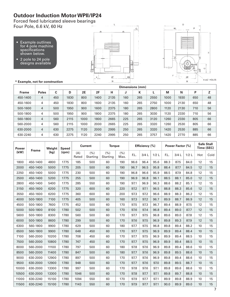### **Outdoor Induction Motor WPII/IP24**

Forced feed lubricated sleeve bearings Four Pole, 6.6 kV, 60 Hz

- Example outlines for 4 pole machine specifications shown below.
- 2 pole to 24 pole designs available





|              |              |     | Dimensions (mm) |      |      |      |     |     |      |      |      |     |    |  |  |  |
|--------------|--------------|-----|-----------------|------|------|------|-----|-----|------|------|------|-----|----|--|--|--|
| <b>Frame</b> | <b>Poles</b> | C   | D               | 2E   | 2F   | н    | J   | К   |      | M    | N    | Ρ   | Z  |  |  |  |
| 450-1400     | 4            | 450 | 1830            | 800  | 1400 | 2135 | 160 | 265 | 2550 | 1000 | 1930 | 650 | 48 |  |  |  |
| 450-1600     | 4            | 450 | 1830            | 800  | 1600 | 2135 | 160 | 265 | 2750 | 1000 | 2130 | 650 | 48 |  |  |  |
| 500-1600     | 4            | 500 | 1950            | 900  | 1600 | 2375 | 180 | 265 | 2800 | 1120 | 2130 | 710 | 56 |  |  |  |
| 500-1800     | 4            | 500 | 1950            | 900  | 1800 | 2375 | 180 | 265 | 3030 | 1120 | 2330 | 710 | 56 |  |  |  |
| 560-1800     | 4            | 560 | 2115            | 1000 | 1800 | 2665 | 225 | 265 | 3120 | 1260 | 2330 | 805 | 66 |  |  |  |
| 560-2000     | 4            | 560 | 2115            | 1000 | 2000 | 2665 | 225 | 265 | 3320 | 1260 | 2530 | 805 | 66 |  |  |  |
| 630-2000     | 4            | 630 | 2275            | 1120 | 2000 | 2995 | 250 | 265 | 3320 | 1420 | 2530 | 885 | 66 |  |  |  |
| 630-2240     | 4            | 630 | 2275            | 1120 | 2240 | 2995 | 250 | 265 | 3757 | 1420 | 2770 | 885 | 66 |  |  |  |

| <b>Power</b> |              | Weight | <b>Speed</b> |              | <b>Current</b>  | <b>Torque</b>    |              |      | Efficiency (%) |      |      | Power Factor (%) |         |     | <b>Safe Stall</b><br>Time (SEC) |
|--------------|--------------|--------|--------------|--------------|-----------------|------------------|--------------|------|----------------|------|------|------------------|---------|-----|---------------------------------|
| (kW)         | <b>Frame</b> | (kg)   | (rpm)        | (A)<br>Rated | (%)<br>Starting | (% )<br>Starting | (% )<br>Max. | F.L. | 3/4L           | 1/2L | F.L. | 3/4L             | $1/2$ L | Hot | Cold                            |
| 1800         | 450-1400     | 4800   | 1775         | 185          | 500             | 60               | 190          | 96.6 | 96.4           | 95.6 | 88.3 | 87.5             | 84.0    | 12  | 15                              |
| 2000         | 450-1400     | 5000   | 1775         | 205          | 500             | 60               | 190          | 96.7 | 96.5           | 95.8 | 88.4 | 87.7             | 84.5    | 12  | 15                              |
| 2250         | 450-1400     | 5000   | 1775         | 230          | 500             | 60               | 190          | 96.8 | 96.6           | 95.9 | 88.5 | 87.9             | 84.8    | 12  | 15                              |
| 2500         | 450-1400     | 5200   | 1775         | 255          | 500             | 60               | 190          | 96.9 | 96.8           | 96.1 | 88.5 | 88.1             | 85.0    | 12  | 15                              |
| 2800         | 450-1400     | 5400   | 1775         | 285          | 550             | 60               | 190          | 97.1 | 96.9           | 96.3 | 88.6 | 88.2             | 85.1    | 12  | 15                              |
| 3150         | 450-1600     | 6200   | 1775         | 320          | 600             | 60               | 220          | 97.2 | 97.1           | 96.5 | 88.8 | 88.3             | 85.6    | 12  | 15                              |
| 3550         | 450-1600     | 6200   | 1775         | 360          | 600             | 60               | 200          | 97.3 | 97.2           | 96.6 | 88.9 | 88.3             | 86.2    | 12  | 15                              |
| 4000         | 500-1800     | 7100   | 1775         | 405          | 500             | 60               | 160          | 97.3 | 97.2           | 96.7 | 89.9 | 88.7             | 86.9    | 12  | 15                              |
| 4500         | 500-1800     | 7600   | 1775         | 452          | 500             | 60               | 170          | 97.5 | 97.3           | 96.7 | 89.4 | 88.9             | 87.5    | 12  | 15                              |
| 5000         | 500-1800     | 8100   | 1780         | 502          | 500             | 60               | 170          | 97.6 | 97.4           | 96.8 | 89.4 | 89.0             | 87.7    | 12  | 15                              |
| 5600         | 500-1800     | 8300   | 1780         | 560          | 500             | 60               | 170          | 97.7 | 97.5           | 96.8 | 89.6 | 89.0             | 87.8    | 12  | 15                              |
| 6000         | 500-1800     | 8600   | 1780         | 299          | 500             | 60               | 170          | 97.6 | 97.5           | 96.9 | 89.8 | 89.3             | 87.9    | 12  | 15                              |
| 6300         | 560-1800     | 9900   | 1780         | 629          | 500             | 60               | 180          | 97.7 | 97.5           | 96.8 | 89.8 | 89.4             | 88.2    | 10  | 15                              |
| 6500         | 560-1800     | 9900   | 1780         | 648          | 450             | 60               | 170          | 97.7 | 97.5           | 96.9 | 89.9 | 89.4             | 88.4    | 10  | 15                              |
| 7100         | 560-2000     | 10200  | 1780         | 708          | 450             | 60               | 170          | 97.7 | 97.5           | 96.9 | 89.9 | 89.4             | 88.5    | 10  | 15                              |
| 7500         | 560-2000     | 10800  | 1780         | 747          | 450             | 60               | 170          | 97.7 | 97.5           | 96.9 | 89.9 | 89.4             | 88.5    | 10  | 15                              |
| 8000         | 560-2000     | 11100  | 1780         | 797          | 500             | 60               | 180          | 97.8 | 97.6           | 96.9 | 89.8 | 89.4             | 88.6    | 10  | 15                              |
| 8500         | 560-2000     | 11400  | 1780         | 847          | 500             | 60               | 180          | 97.7 | 97.6           | 96.9 | 89.8 | 89.5             | 88.6    | 10  | 15                              |
| 9000         | 630-2000     | 12900  | 1780         | 897          | 500             | 60               | 170          | 97.7 | 97.6           | 96.9 | 89.8 | 89.4             | 88.6    | 10  | 15                              |
| 9500         | 630-2000     | 12900  | 1780         | 948          | 500             | 60               | 170          | 97.7 | 97.6           | 97.0 | 89.8 | 89.5             | 88.7    | 10  | 15                              |
| 10000        | 630-2000     | 13300  | 1780         | 997          | 500             | 60               | 170          | 97.8 | 97.6           | 97.1 | 89.8 | 89.6             | 88.6    | 10  | 15                              |
| 10500        | 630-2000     | 13300  | 1780         | 1046         | 500             | 60               | 170          | 97.8 | 97.7           | 97.1 | 89.8 | 89.7             | 88.8    | 10  | 15                              |
| 11000        | 630-2240     | 15100  | 1780         | 1094         | 550             | 60               | 170          | 97.9 | 97.7           | 97.1 | 89.9 | 89.8             | 88.9    | 10  | 15                              |
| 11500        | 630-2240     | 15100  | 1780         | 1143         | 550             | 60               | 170          | 97.9 | 97.7           | 97.1 | 90.0 | 89.9             | 89.0    | 10  | 15                              |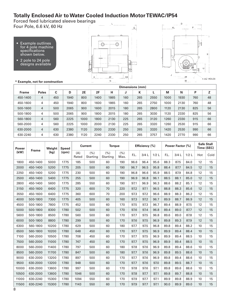#### **Totally Enclosed Air to Water Cooled Induction Motor TEWAC/IP54**

Forced feed lubricated sleeve bearings Four Pole, 6.6 kV, 60 Hz

- Example outlines for 4 pole machine specifications shown below.
- 2 pole to 24 pole designs available



 $\mathsf{L}^+$ 



|              |                | Dimensions (mm) |      |      |      |      |     |     |      |      |      |     |    |  |
|--------------|----------------|-----------------|------|------|------|------|-----|-----|------|------|------|-----|----|--|
| <b>Frame</b> | <b>Poles</b>   | C               | D    | 2E   | 2F   | н    | J   | К   |      | M    | N    | P   | Z  |  |
| 450-1400     | 4              | 450             | 1940 | 800  | 1400 | 1865 | 160 | 265 | 2550 | 1000 | 1930 | 760 | 48 |  |
| 450-1600     | 4              | 450             | 1940 | 800  | 1600 | 1865 | 160 | 265 | 2750 | 1000 | 2130 | 760 | 48 |  |
| 500-1600     | 4              | 500             | 2065 | 900  | 1600 | 2015 | 180 | 265 | 2800 | 1120 | 2130 | 825 | 56 |  |
| 500-1800     | 4              | 500             | 2065 | 900  | 1800 | 2015 | 180 | 265 | 3030 | 1120 | 2330 | 825 | 56 |  |
| 560-1800     | $\overline{4}$ | 560             | 2225 | 1000 | 1800 | 2130 | 225 | 265 | 3120 | 1260 | 2330 | 915 | 66 |  |
| 560-2000     | 4              | 560             | 2225 | 1000 | 2000 | 2130 | 225 | 265 | 3320 | 1260 | 2530 | 915 | 66 |  |
| 630-2000     | 4              | 630             | 2380 | 1120 | 2000 | 2330 | 250 | 265 | 3320 | 1420 | 2530 | 990 | 66 |  |
| 630-2240     | 4              | 630             | 2380 | 1120 | 2240 | 2330 | 250 | 265 | 3757 | 1420 | 2770 | 990 | 66 |  |

| <b>Power</b> | <b>Frame</b> | Weight | <b>Speed</b> | <b>Current</b> |                  | <b>Torque</b>    |             | Efficiency (%) |      |         |      | Power Factor (%) | <b>Safe Stall</b><br>Time (SEC) |     |      |
|--------------|--------------|--------|--------------|----------------|------------------|------------------|-------------|----------------|------|---------|------|------------------|---------------------------------|-----|------|
| (kW)         |              | (kg)   | (rpm)        | (A)<br>Rated   | (% )<br>Starting | (% )<br>Starting | (%)<br>Max. | F.L.           | 3/4L | $1/2$ L | F.L. | 3/4L             | 1/2L                            | Hot | Cold |
| 1800         | 450-1400     | 5000   | 1775         | 185            | 500              | 60               | 190         | 96.6           | 96.4 | 95.6    | 88.3 | 87.5             | 84.0                            | 12  | 15   |
| 2000         | 450-1400     | 5200   | 1775         | 205            | 500              | 60               | 190         | 96.7           | 96.5 | 95.8    | 88.4 | 87.7             | 84.5                            | 12  | 15   |
| 2250         | 450-1400     | 5200   | 1775         | 230            | 500              | 60               | 190         | 96.8           | 96.6 | 95.9    | 88.5 | 87.9             | 84.8                            | 12  | 15   |
| 2500         | 450-1400     | 5400   | 1775         | 255            | 500              | 60               | 190         | 96.9           | 96.8 | 96.1    | 88.5 | 88.1             | 85.0                            | 12  | 15   |
| 2800         | 450-1400     | 5600   | 1775         | 285            | 550              | 60               | 190         | 97.1           | 96.9 | 96.3    | 88.6 | 88.2             | 85.1                            | 12  | 15   |
| 3150         | 450-1600     | 6400   | 1775         | 320            | 600              | 70               | 220         | 97.2           | 97.1 | 96.5    | 88.8 | 88.3             | 85.6                            | 12  | 15   |
| 3550         | 450-1600     | 6400   | 1775         | 360            | 600              | 70               | 200         | 97.3           | 97.2 | 96.6    | 88.9 | 88.3             | 86.2                            | 12  | 15   |
| 4000         | 500-1800     | 7300   | 1775         | 405            | 500              | 60               | 160         | 97.3           | 97.2 | 96.7    | 89.9 | 88.7             | 86.9                            | 12  | 15   |
| 4500         | 500-1800     | 7800   | 1775         | 452            | 500              | 60               | 170         | 97.5           | 97.3 | 96.7    | 89.4 | 88.9             | 87.5                            | 12  | 15   |
| 5000         | 500-1800     | 8300   | 1780         | 502            | 500              | 60               | 170         | 97.6           | 97.4 | 96.8    | 89.4 | 89.0             | 87.7                            | 12  | 15   |
| 5600         | 500-1800     | 8500   | 1780         | 560            | 500              | 60               | 170         | 97.7           | 97.5 | 96.8    | 89.6 | 89.0             | 87.8                            | 12  | 15   |
| 6000         | 500-1800     | 8800   | 1780         | 299            | 500              | 60               | 170         | 97.6           | 97.5 | 96.9    | 89.8 | 89.3             | 87.9                            | 12  | 15   |
| 6300         | 560-1800     | 10200  | 1780         | 629            | 500              | 60               | 180         | 97.7           | 97.5 | 96.8    | 89.8 | 89.4             | 88.2                            | 10  | 15   |
| 6500         | 560-1800     | 10200  | 1780         | 648            | 450              | 60               | 170         | 97.7           | 97.5 | 96.9    | 89.9 | 89.4             | 88.4                            | 10  | 15   |
| 7100         | 560-2000     | 10500  | 1780         | 708            | 450              | 60               | 170         | 97.7           | 97.5 | 96.9    | 89.9 | 89.4             | 88.5                            | 10  | 15   |
| 7500         | 560-2000     | 11000  | 1780         | 747            | 450              | 60               | 170         | 97.7           | 97.5 | 96.9    | 89.9 | 89.4             | 88.5                            | 10  | 15   |
| 8000         | 560-2000     | 11400  | 1780         | 797            | 500              | 60               | 180         | 97.8           | 97.6 | 96.9    | 89.8 | 89.4             | 88.6                            | 10  | 15   |
| 8500         | 560-2000     | 11700  | 1780         | 847            | 500              | 60               | 180         | 97.7           | 97.6 | 96.9    | 89.8 | 89.5             | 88.6                            | 10  | 15   |
| 9000         | 630-2000     | 13200  | 1780         | 897            | 500              | 60               | 170         | 97.7           | 97.6 | 96.9    | 89.8 | 89.4             | 88.6                            | 10  | 15   |
| 9500         | 630-2000     | 13200  | 1780         | 948            | 500              | 60               | 170         | 97.7           | 97.6 | 97.0    | 89.8 | 89.5             | 88.7                            | 10  | 15   |
| 10000        | 630-2000     | 13600  | 1780         | 997            | 500              | 60               | 170         | 97.8           | 97.6 | 97.1    | 89.8 | 89.6             | 88.6                            | 10  | 15   |
| 10500        | 630-2000     | 13600  | 1780         | 1046           | 500              | 60               | 170         | 97.8           | 97.7 | 97.1    | 89.8 | 89.7             | 88.8                            | 10  | 15   |
| 11000        | 630-2240     | 15300  | 1780         | 1094           | 550              | 60               | 170         | 97.9           | 97.7 | 97.1    | 89.9 | 89.8             | 88.9                            | 10  | 15   |
| 11500        | 630-2240     | 15300  | 1780         | 1143           | 550              | 60               | 170         | 97.9           | 97.7 | 97.1    | 90.0 | 89.9             | 89.0                            | 10  | 15   |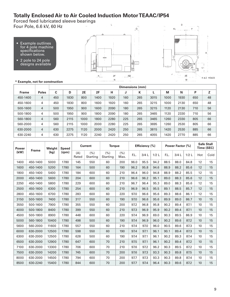## **Totally Enclosed Air to Air Cooled Induction Motor TEAAC/IP54**

Forced feed lubricated sleeve bearings Four Pole, 6.6 kV, 60 Hz

- Example outlines for 4 pole machine specifications shown below.
- 2 pole to 24 pole designs available



 $\mathsf L$ 



|              |              | Dimensions (mm) |      |      |      |      |     |     |      |      |      |     |    |  |  |
|--------------|--------------|-----------------|------|------|------|------|-----|-----|------|------|------|-----|----|--|--|
| <b>Frame</b> | <b>Poles</b> | C               | D    | 2E   | 2F   | н    | J   | К   |      | M    | N    | P   | Z  |  |  |
| 450-1400     | 4            | 450             | 1830 | 800  | 1400 | 1920 | 160 | 265 | 3015 | 1000 | 1930 | 650 | 48 |  |  |
| 450-1600     | 4            | 450             | 1830 | 800  | 1600 | 1920 | 160 | 265 | 3215 | 1000 | 2130 | 650 | 48 |  |  |
| 500-1600     | 4            | 500             | 1950 | 900  | 1600 | 2090 | 180 | 265 | 3215 | 1120 | 2130 | 710 | 56 |  |  |
| 500-1800     | 4            | 500             | 1950 | 900  | 1800 | 2090 | 180 | 265 | 3465 | 1120 | 2330 | 710 | 56 |  |  |
| 560-1800     | 4            | 560             | 2115 | 1000 | 1800 | 2280 | 225 | 265 | 3465 | 1260 | 2330 | 805 | 66 |  |  |
| 560-2000     | 4            | 560             | 2115 | 1000 | 2000 | 2280 | 225 | 265 | 3695 | 1260 | 2530 | 805 | 66 |  |  |
| 630-2000     | 4            | 630             | 2275 | 1120 | 2000 | 2420 | 250 | 265 | 3815 | 1420 | 2530 | 885 | 66 |  |  |
| 630-2240     | 4            | 630             | 2275 | 1120 | 2240 | 2420 | 250 | 265 | 4055 | 1420 | 2770 | 885 | 66 |  |  |

| <b>Power</b><br>Frame |          | Weight |       | <b>Speed</b> |                  | <b>Current</b>   | <b>Torque</b> |      |      | Efficiency (%) |      |      | Power Factor (%) |     |      | <b>Safe Stall</b><br>Time (SEC) |
|-----------------------|----------|--------|-------|--------------|------------------|------------------|---------------|------|------|----------------|------|------|------------------|-----|------|---------------------------------|
| (kW)                  |          | (kg)   | (rpm) | (A)<br>Rated | (% )<br>Starting | (% )<br>Starting | (% )<br>Max.  | F.L. | 3/4L | 1/2L           | F.L. | 3/4L | 1/2L             | Hot | Cold |                                 |
| 1400                  | 450-1400 | 5000   | 1780  | 145          | 550              | 60               | 200           | 96.0 | 95.5 | 94.2           | 88.5 | 88.0 | 84.8             | 12  | 15   |                                 |
| 1600                  | 450-1400 | 5200   | 1780  | 164          | 500              | 60               | 190           | 96.2 | 95.8 | 94.6           | 88.9 | 88.2 | 85.6             | 12  | 15   |                                 |
| 1800                  | 450-1400 | 5400   | 1780  | 184          | 600              | 60               | 210           | 96.4 | 96.0 | 94.8           | 88.9 | 88.2 | 85.5             | 12  | 15   |                                 |
| 2000                  | 450-1400 | 5600   | 1780  | 204          | 600              | 60               | 210           | 96.6 | 96.2 | 95.1           | 89.0 | 88.3 | 85.6             | 12  | 15   |                                 |
| 2250                  | 450-1400 | 5800   | 1780  | 229          | 600              | 60               | 210           | 96.7 | 96.4 | 95.3           | 89.0 | 88.3 | 85.6             | 12  | 15   |                                 |
| 2500                  | 450-1600 | 6300   | 1780  | 254          | 600              | 60               | 210           | 96.9 | 96.5 | 95.5           | 89.1 | 88.5 | 85.7             | 12  | 15   |                                 |
| 2800                  | 450-1600 | 6700   | 1780  | 283          | 600              | 60               | 220           | 97.0 | 96.6 | 95.6           | 89.3 | 88.6 | 86.1             | 12  | 15   |                                 |
| 3150                  | 500-1600 | 7400   | 1780  | 317          | 550              | 60               | 190           | 97.0 | 96.6 | 95.6           | 89.9 | 89.0 | 86.7             | 10  | 15   |                                 |
| 3550                  | 500-1600 | 7900   | 1780  | 355          | 550              | 60               | 200           | 97.2 | 96.8 | 95.8           | 90.2 | 89.4 | 87.1             | 10  | 15   |                                 |
| 4000                  | 500-1800 | 8400   | 1780  | 399          | 550              | 60               | 210           | 97.3 | 96.9 | 95.9           | 90.2 | 89.4 | 87.1             | 10  | 15   |                                 |
| 4500                  | 500-1800 | 8900   | 1780  | 448          | 600              | 60               | 220           | 97.4 | 96.9 | 69.0           | 90.3 | 89.5 | 86.9             | 10  | 15   |                                 |
| 5000                  | 560-1800 | 10400  | 1780  | 498          | 500              | 60               | 190           | 97.4 | 96.9 | 96.0           | 90.2 | 89.6 | 87.2             | 10  | 15   |                                 |
| 5600                  | 560-2000 | 11600  | 1780  | 557          | 550              | 60               | 210           | 97.4 | 97.0 | 96.0           | 90.5 | 89.6 | 87.3             | 10  | 15   |                                 |
| 6000                  | 630-2000 | 12500  | 1780  | 598          | 550              | 60               | 190           | 97.4 | 97.1 | 96.1           | 90.1 | 89.4 | 87.3             | 10  | 15   |                                 |
| 6300                  | 630-2000 | 12500  | 1780  | 628          | 500              | 60               | 190           | 97.4 | 97.1 | 96.1           | 90.2 | 89.3 | 87.4             | 10  | 15   |                                 |
| 6500                  | 630-2000 | 12900  | 1780  | 647          | 600              | 70               | 210           | 97.5 | 97.1 | 96.1           | 90.2 | 89.4 | 87.2             | 10  | 15   |                                 |
| 7100                  | 630-2000 | 13300  | 1780  | 706          | 600              | 70               | 210           | 97.6 | 97.2 | 96.2           | 90.3 | 89.5 | 87.2             | 10  | 15   |                                 |
| 7500                  | 630-2000 | 14200  | 1780  | 745          | 600              | 70               | 200           | 97.6 | 97.3 | 93.3           | 90.3 | 89.8 | 87.5             | 10  | 15   |                                 |
| 8000                  | 630-2000 | 14500  | 1780  | 794          | 600              | 70               | 200           | 97.7 | 97.3 | 93.3           | 90.3 | 89.8 | 87.4             | 10  | 15   |                                 |
| 8500                  | 630-2240 | 15400  | 1780  | 844          | 600              | 70               | 200           | 97.7 | 97.4 | 96.4           | 90.3 | 89.6 | 87.2             | 10  | 15   |                                 |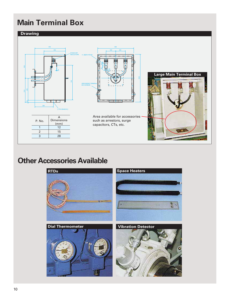## **Main Terminal Box**



## **Other Accessories Available**

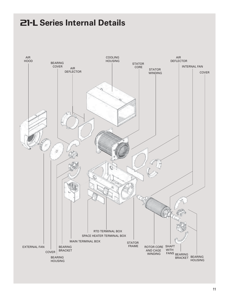# **ZI-L Series Internal Details**